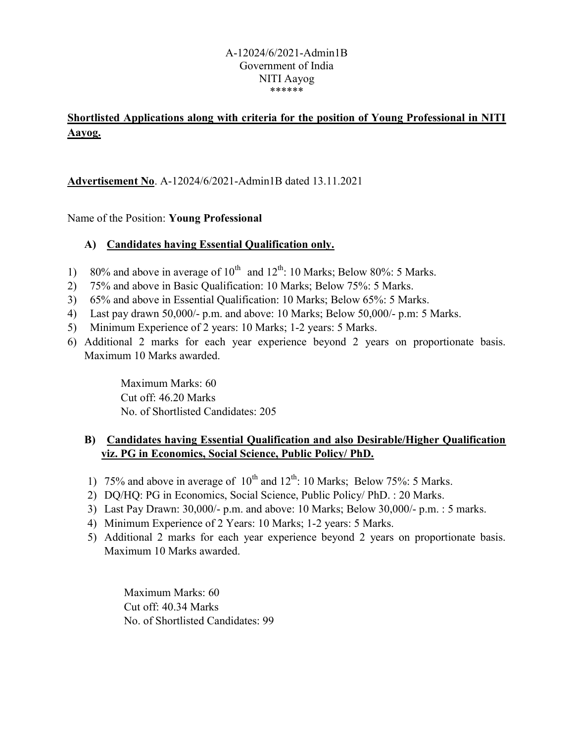#### A-12024/6/2021-Admin1B Government of India NITI Aayog \*\*\*\*\*\*

## Shortlisted Applications along with criteria for the position of Young Professional in NITI Aayog.

Advertisement No. A-12024/6/2021-Admin1B dated 13.11.2021

Name of the Position: Young Professional

### A) Candidates having Essential Qualification only.

- 1) 80% and above in average of  $10^{th}$  and  $12^{th}$ : 10 Marks; Below 80%: 5 Marks.
- 2) 75% and above in Basic Qualification: 10 Marks; Below 75%: 5 Marks.
- 3) 65% and above in Essential Qualification: 10 Marks; Below 65%: 5 Marks.
- 4) Last pay drawn 50,000/- p.m. and above: 10 Marks; Below 50,000/- p.m: 5 Marks.
- 5) Minimum Experience of 2 years: 10 Marks; 1-2 years: 5 Marks.
- 6) Additional 2 marks for each year experience beyond 2 years on proportionate basis. Maximum 10 Marks awarded.

 Maximum Marks: 60 Cut off: 46.20 Marks No. of Shortlisted Candidates: 205

### B) Candidates having Essential Qualification and also Desirable/Higher Qualification viz. PG in Economics, Social Science, Public Policy/ PhD.

- 1) 75% and above in average of  $10^{th}$  and  $12^{th}$ : 10 Marks; Below 75%: 5 Marks.
- 2) DQ/HQ: PG in Economics, Social Science, Public Policy/ PhD. : 20 Marks.
- 3) Last Pay Drawn: 30,000/- p.m. and above: 10 Marks; Below 30,000/- p.m. : 5 marks.
- 4) Minimum Experience of 2 Years: 10 Marks; 1-2 years: 5 Marks.
- 5) Additional 2 marks for each year experience beyond 2 years on proportionate basis. Maximum 10 Marks awarded.

 Maximum Marks: 60 Cut off: 40.34 Marks No. of Shortlisted Candidates: 99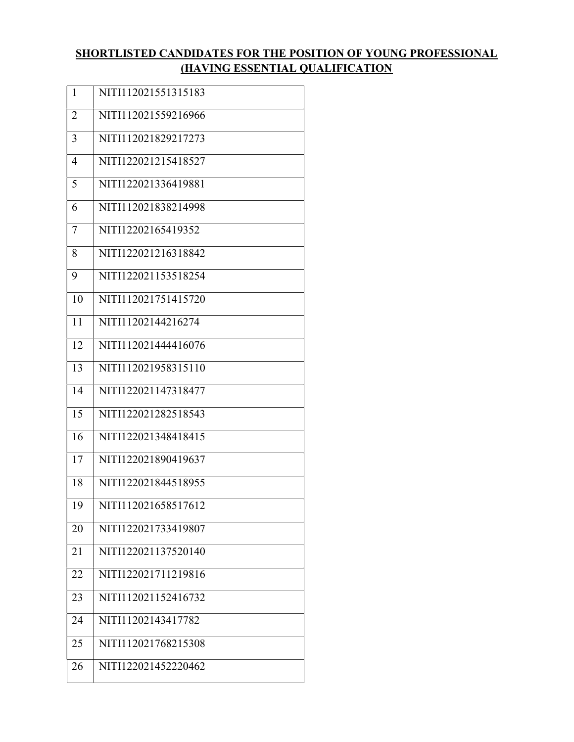## SHORTLISTED CANDIDATES FOR THE POSITION OF YOUNG PROFESSIONAL (HAVING ESSENTIAL QUALIFICATION

| NITI112021551315183<br>NITI112021559216966 |
|--------------------------------------------|
|                                            |
|                                            |
| NITI112021829217273                        |
| NITI122021215418527                        |
| NITI122021336419881                        |
| NITI112021838214998                        |
| NITI12202165419352                         |
| NITI122021216318842                        |
| NITI122021153518254                        |
| NITI112021751415720                        |
| NITI11202144216274                         |
| NITI112021444416076                        |
| NITI112021958315110                        |
| NITI122021147318477                        |
| NITI122021282518543                        |
| NITI122021348418415                        |
| NITI122021890419637                        |
| NITI122021844518955                        |
| NITI112021658517612                        |
| NITI122021733419807                        |
| NITI122021137520140                        |
| NITI122021711219816                        |
| NITI112021152416732                        |
| NITI11202143417782                         |
|                                            |
| NITI112021768215308                        |
|                                            |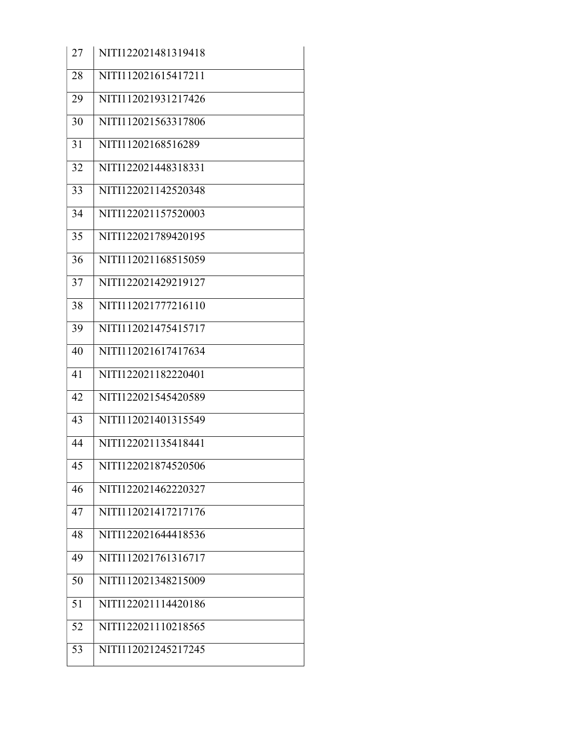| 27 | NITI122021481319418 |
|----|---------------------|
| 28 | NITI112021615417211 |
| 29 | NITI112021931217426 |
| 30 | NITI112021563317806 |
| 31 | NITI11202168516289  |
| 32 | NITI122021448318331 |
| 33 | NITI122021142520348 |
| 34 | NITI122021157520003 |
| 35 | NITI122021789420195 |
| 36 | NITI112021168515059 |
| 37 | NITI122021429219127 |
| 38 | NITI112021777216110 |
| 39 | NITI112021475415717 |
| 40 | NITI112021617417634 |
| 41 | NITI122021182220401 |
| 42 | NITI122021545420589 |
| 43 | NITI112021401315549 |
| 44 | NITI122021135418441 |
| 45 | NITI122021874520506 |
| 46 | NITI122021462220327 |
| 47 | NITI112021417217176 |
| 48 | NITI122021644418536 |
| 49 | NITI112021761316717 |
| 50 | NITI112021348215009 |
| 51 | NITI122021114420186 |
| 52 | NITI122021110218565 |
| 53 | NITI112021245217245 |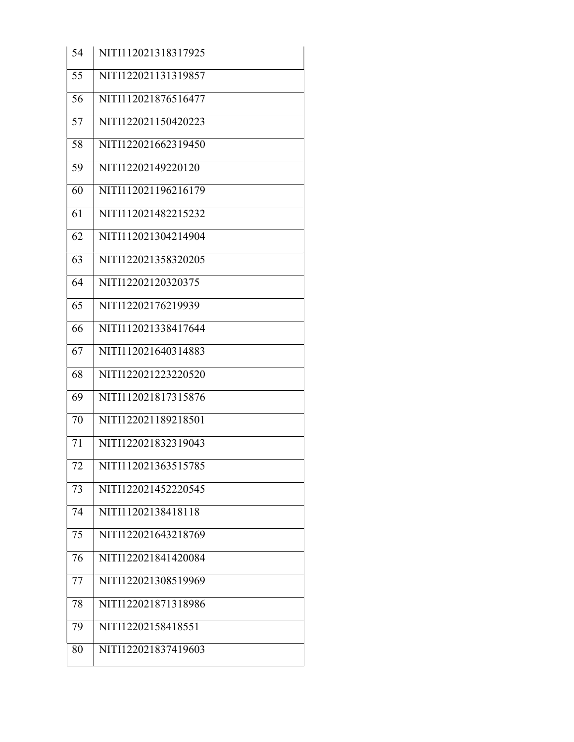| 54 | NITI112021318317925 |
|----|---------------------|
| 55 | NITI122021131319857 |
| 56 | NITI112021876516477 |
| 57 | NITI122021150420223 |
| 58 | NITI122021662319450 |
| 59 | NITI12202149220120  |
| 60 | NITI112021196216179 |
| 61 | NITI112021482215232 |
| 62 | NITI112021304214904 |
| 63 | NITI122021358320205 |
| 64 | NITI12202120320375  |
| 65 | NITI12202176219939  |
| 66 | NITI112021338417644 |
| 67 | NITI112021640314883 |
| 68 | NITI122021223220520 |
| 69 | NITI112021817315876 |
| 70 | NITI122021189218501 |
| 71 | NITI122021832319043 |
| 72 | NITI112021363515785 |
| 73 | NITI122021452220545 |
| 74 | NITI11202138418118  |
| 75 | NITI122021643218769 |
| 76 | NITI122021841420084 |
| 77 | NITI122021308519969 |
| 78 | NITI122021871318986 |
| 79 | NITI12202158418551  |
| 80 | NITI122021837419603 |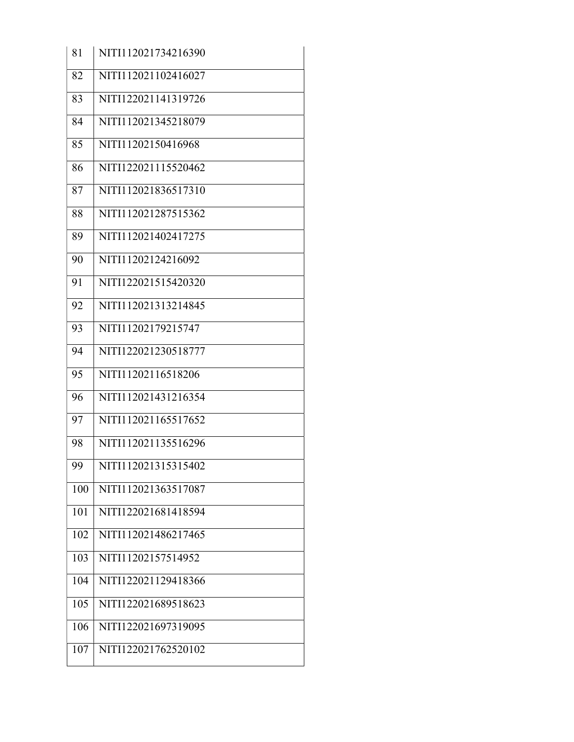| 81  | NITI112021734216390 |
|-----|---------------------|
| 82  | NITI112021102416027 |
| 83  | NITI122021141319726 |
| 84  | NITI112021345218079 |
| 85  | NITI11202150416968  |
| 86  | NITI122021115520462 |
| 87  | NITI112021836517310 |
| 88  | NITI112021287515362 |
| 89  | NITI112021402417275 |
| 90  | NITI11202124216092  |
| 91  | NITI122021515420320 |
| 92  | NITI112021313214845 |
| 93  | NITI11202179215747  |
| 94  | NITI122021230518777 |
| 95  | NITI11202116518206  |
| 96  | NITI112021431216354 |
| 97  | NITI112021165517652 |
| 98  | NITI112021135516296 |
| 99  | NITI112021315315402 |
| 100 | NITI112021363517087 |
| 101 | NITI122021681418594 |
| 102 | NITI112021486217465 |
| 103 | NITI11202157514952  |
| 104 | NITI122021129418366 |
| 105 | NITI122021689518623 |
| 106 | NITI122021697319095 |
| 107 | NITI122021762520102 |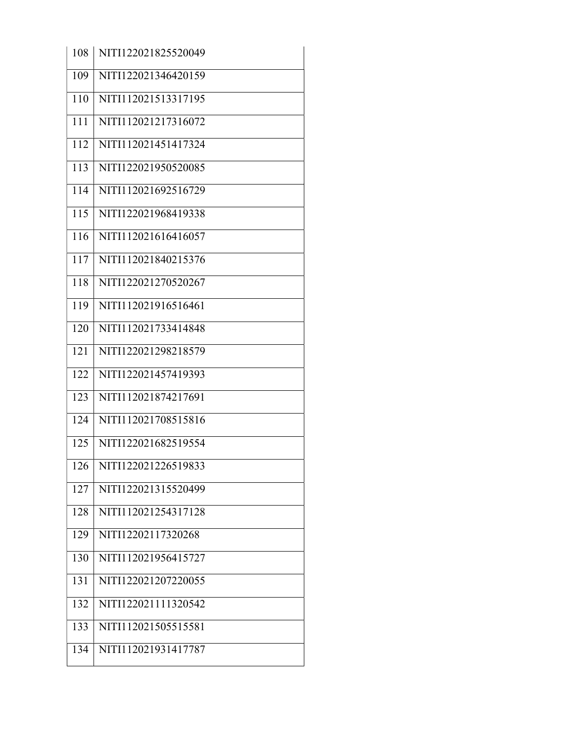| 108 | NITI122021825520049 |
|-----|---------------------|
| 109 | NITI122021346420159 |
| 110 | NITI112021513317195 |
| 111 | NITI112021217316072 |
| 112 | NITI112021451417324 |
| 113 | NITI122021950520085 |
| 114 | NITI112021692516729 |
| 115 | NITI122021968419338 |
| 116 | NITI112021616416057 |
| 117 | NITI112021840215376 |
| 118 | NITI122021270520267 |
| 119 | NITI112021916516461 |
| 120 | NITI112021733414848 |
| 121 | NITI122021298218579 |
| 122 | NITI122021457419393 |
| 123 | NITI112021874217691 |
| 124 | NITI112021708515816 |
| 125 | NITI122021682519554 |
| 126 | NITI122021226519833 |
| 127 | NITI122021315520499 |
| 128 | NITI112021254317128 |
| 129 | NITI12202117320268  |
| 130 | NITI112021956415727 |
| 131 | NITI122021207220055 |
| 132 | NITI122021111320542 |
| 133 | NITI112021505515581 |
| 134 | NITI112021931417787 |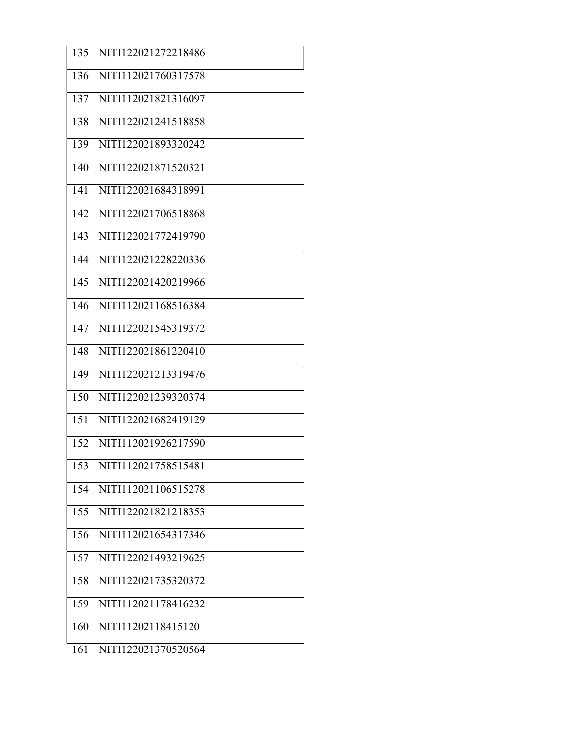| 135 | NITI122021272218486 |
|-----|---------------------|
| 136 | NITI112021760317578 |
| 137 | NITI112021821316097 |
| 138 | NITI122021241518858 |
| 139 | NITI122021893320242 |
| 140 | NITI122021871520321 |
| 141 | NITI122021684318991 |
| 142 | NITI122021706518868 |
| 143 | NITI122021772419790 |
| 144 | NITI122021228220336 |
| 145 | NITI122021420219966 |
| 146 | NITI112021168516384 |
| 147 | NITI122021545319372 |
| 148 | NITI122021861220410 |
| 149 | NITI122021213319476 |
| 150 | NITI122021239320374 |
| 151 | NITI122021682419129 |
| 152 | NITI112021926217590 |
| 153 | NITI112021758515481 |
| 154 | NITI112021106515278 |
| 155 | NITI122021821218353 |
| 156 | NITI112021654317346 |
| 157 | NITI122021493219625 |
| 158 | NITI122021735320372 |
| 159 | NITI112021178416232 |
| 160 | NITI11202118415120  |
| 161 | NITI122021370520564 |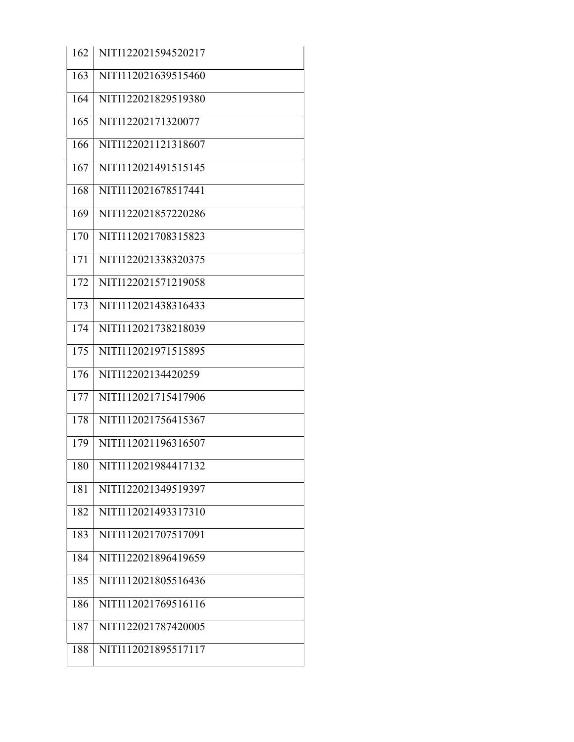| 162 | NITI122021594520217 |
|-----|---------------------|
| 163 | NITI112021639515460 |
| 164 | NITI122021829519380 |
| 165 | NITI12202171320077  |
| 166 | NITI122021121318607 |
| 167 | NITI112021491515145 |
| 168 | NITI112021678517441 |
| 169 | NITI122021857220286 |
| 170 | NITI112021708315823 |
| 171 | NITI122021338320375 |
| 172 | NITI122021571219058 |
| 173 | NITI112021438316433 |
| 174 | NITI112021738218039 |
| 175 | NITI112021971515895 |
| 176 | NITI12202134420259  |
| 177 | NITI112021715417906 |
| 178 | NITI112021756415367 |
| 179 | NITI112021196316507 |
| 180 | NITI112021984417132 |
| 181 | NITI122021349519397 |
| 182 | NITI112021493317310 |
| 183 | NITI112021707517091 |
| 184 | NITI122021896419659 |
| 185 | NITI112021805516436 |
| 186 | NITI112021769516116 |
| 187 | NITI122021787420005 |
| 188 | NITI112021895517117 |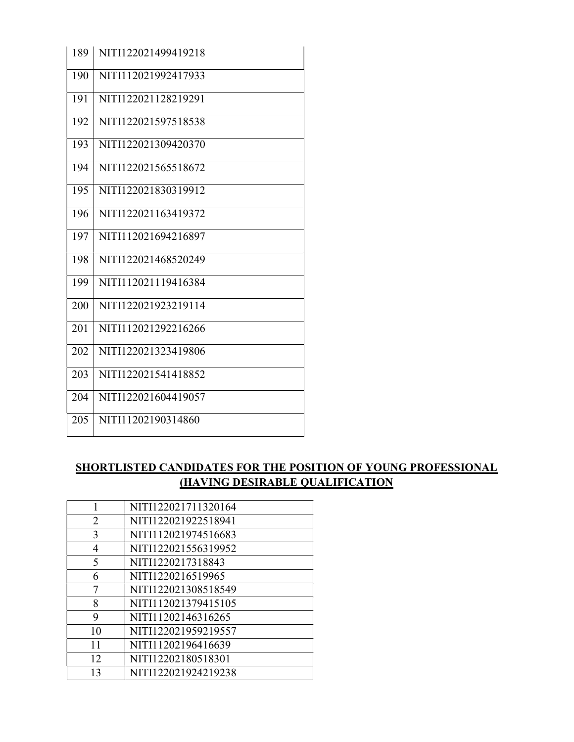| 189 | NITI122021499419218 |
|-----|---------------------|
| 190 | NITI112021992417933 |
| 191 | NITI122021128219291 |
| 192 | NITI122021597518538 |
| 193 | NITI122021309420370 |
| 194 | NITI122021565518672 |
| 195 | NITI122021830319912 |
| 196 | NITI122021163419372 |
| 197 | NITI112021694216897 |
| 198 | NITI122021468520249 |
| 199 | NITI112021119416384 |
| 200 | NITI122021923219114 |
| 201 | NITI112021292216266 |
| 202 | NITI122021323419806 |
| 203 | NITI122021541418852 |
| 204 | NITI122021604419057 |
| 205 | NITI11202190314860  |

# SHORTLISTED CANDIDATES FOR THE POSITION OF YOUNG PROFESSIONAL (HAVING DESIRABLE QUALIFICATION

|    | NITI122021711320164 |
|----|---------------------|
| 2  | NITI122021922518941 |
| 3  | NITI112021974516683 |
| 4  | NITI122021556319952 |
| 5  | NITI1220217318843   |
| 6  | NITI1220216519965   |
| 7  | NITI122021308518549 |
| 8  | NITI112021379415105 |
| 9  | NITI11202146316265  |
| 10 | NITI122021959219557 |
|    | NITI11202196416639  |
| 12 | NITI12202180518301  |
| 13 | NITI122021924219238 |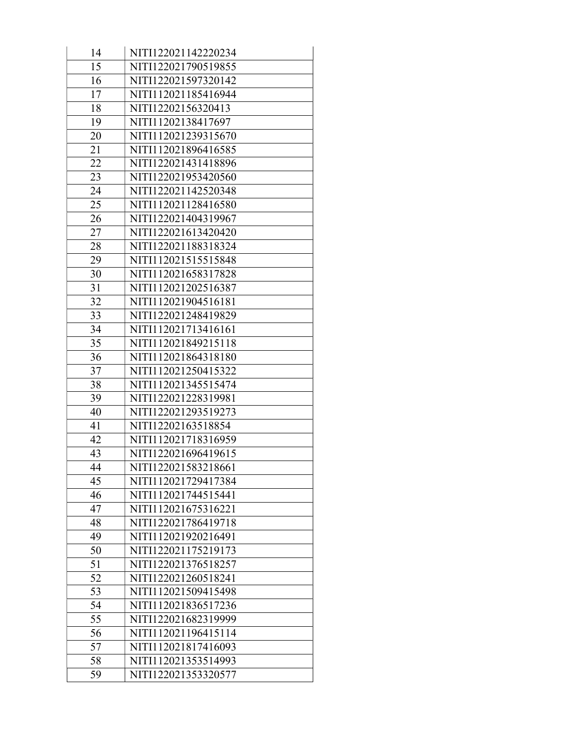| 14 | NITI122021142220234 |
|----|---------------------|
| 15 | NITI122021790519855 |
| 16 | NITI122021597320142 |
| 17 | NITI112021185416944 |
| 18 | NITI12202156320413  |
| 19 | NITI11202138417697  |
| 20 | NITI112021239315670 |
| 21 | NITI112021896416585 |
| 22 | NITI122021431418896 |
| 23 | NITI122021953420560 |
| 24 | NITI122021142520348 |
| 25 | NITI112021128416580 |
| 26 | NITI122021404319967 |
| 27 | NITI122021613420420 |
| 28 | NITI122021188318324 |
| 29 | NITI112021515515848 |
| 30 | NITI112021658317828 |
| 31 | NITI112021202516387 |
| 32 | NITI112021904516181 |
| 33 | NITI122021248419829 |
| 34 | NITI112021713416161 |
| 35 | NITI112021849215118 |
| 36 | NITI112021864318180 |
| 37 | NITI112021250415322 |
| 38 | NITI112021345515474 |
| 39 | NITI122021228319981 |
| 40 | NITI122021293519273 |
| 41 | NITI12202163518854  |
| 42 | NITI112021718316959 |
| 43 | NITI122021696419615 |
| 44 | NITI122021583218661 |
| 45 | NITI112021729417384 |
| 46 | NITI112021744515441 |
| 47 | NITI112021675316221 |
| 48 | NITI122021786419718 |
| 49 | NITI112021920216491 |
| 50 | NITI122021175219173 |
| 51 | NITI122021376518257 |
| 52 | NITI122021260518241 |
| 53 | NITI112021509415498 |
| 54 | NITI112021836517236 |
| 55 | NITI122021682319999 |
| 56 | NITI112021196415114 |
| 57 | NITI112021817416093 |
| 58 | NITI112021353514993 |
| 59 | NITI122021353320577 |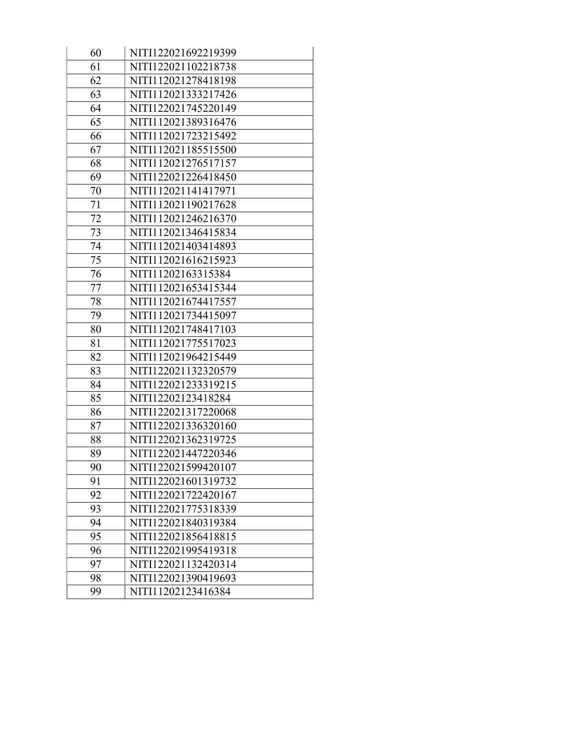| 60 | NITI122021692219399 |
|----|---------------------|
| 61 | NITI122021102218738 |
| 62 | NITI112021278418198 |
| 63 | NITI112021333217426 |
| 64 | NITI122021745220149 |
| 65 | NITI112021389316476 |
| 66 | NITI112021723215492 |
| 67 | NITI112021185515500 |
| 68 | NITI112021276517157 |
| 69 | NITI122021226418450 |
| 70 | NITI112021141417971 |
| 71 | NITI112021190217628 |
| 72 | NITI112021246216370 |
| 73 | NITI112021346415834 |
| 74 | NITI112021403414893 |
| 75 | NITI112021616215923 |
| 76 | NITI11202163315384  |
| 77 | NITI112021653415344 |
| 78 | NITI112021674417557 |
| 79 | NITI112021734415097 |
| 80 | NITI112021748417103 |
| 81 | NITI112021775517023 |
| 82 | NITI112021964215449 |
| 83 | NITI122021132320579 |
| 84 | NITI122021233319215 |
| 85 | NITI12202123418284  |
| 86 | NITI122021317220068 |
| 87 | NITI122021336320160 |
| 88 | NITI122021362319725 |
| 89 | NITI122021447220346 |
| 90 | NITI122021599420107 |
| 91 | NITI122021601319732 |
| 92 | NITI122021722420167 |
| 93 | NITI122021775318339 |
| 94 | NITI122021840319384 |
| 95 | NITI122021856418815 |
| 96 | NITI122021995419318 |
| 97 | NITI122021132420314 |
| 98 | NITI122021390419693 |
| 99 | NITI11202123416384  |